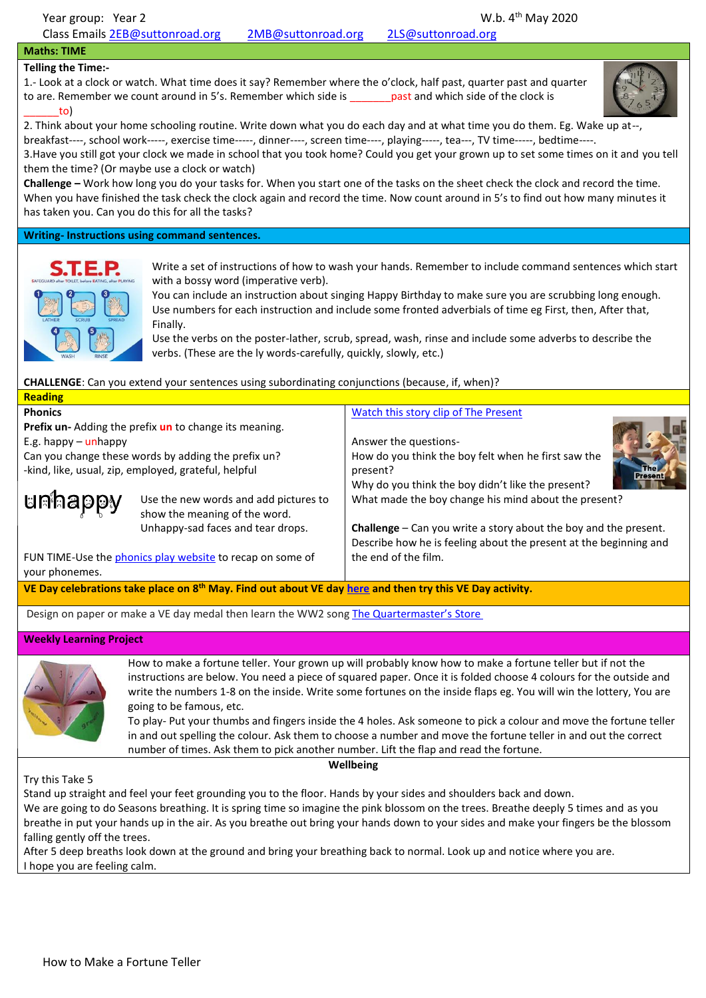## **Maths: TIME**

## **Telling the Time:-**

1.- Look at a clock or watch. What time does it say? Remember where the o'clock, half past, quarter past and quarter to are. Remember we count around in 5's. Remember which side is **past and which side of the clock is** \_\_\_\_\_\_to)



2. Think about your home schooling routine. Write down what you do each day and at what time you do them. Eg. Wake up at--, breakfast----, school work-----, exercise time-----, dinner----, screen time----, playing-----, tea---, TV time-----, bedtime----.

3.Have you still got your clock we made in school that you took home? Could you get your grown up to set some times on it and you tell them the time? (Or maybe use a clock or watch)

**Challenge –** Work how long you do your tasks for. When you start one of the tasks on the sheet check the clock and record the time. When you have finished the task check the clock again and record the time. Now count around in 5's to find out how many minutes it has taken you. Can you do this for all the tasks?

**Writing- Instructions using command sentences.** 



Write a set of instructions of how to wash your hands. Remember to include command sentences which start with a bossy word (imperative verb).

You can include an instruction about singing Happy Birthday to make sure you are scrubbing long enough. Use numbers for each instruction and include some fronted adverbials of time eg First, then, After that, Finally.

Use the verbs on the poster-lather, scrub, spread, wash, rinse and include some adverbs to describe the verbs. (These are the ly words-carefully, quickly, slowly, etc.)

**CHALLENGE**: Can you extend your sentences using subordinating conjunctions (because, if, when)?

| <b>Reading</b>                                                                                                       |                                                                        |                                                                                                                                                |  |
|----------------------------------------------------------------------------------------------------------------------|------------------------------------------------------------------------|------------------------------------------------------------------------------------------------------------------------------------------------|--|
| <b>Phonics</b>                                                                                                       |                                                                        | Watch this story clip of The Present                                                                                                           |  |
| Prefix un-Adding the prefix un to change its meaning.                                                                |                                                                        |                                                                                                                                                |  |
| E.g. happy $-\text{unhappy}$                                                                                         |                                                                        | Answer the questions-                                                                                                                          |  |
| Can you change these words by adding the prefix un?<br>-kind, like, usual, zip, employed, grateful, helpful          |                                                                        | How do you think the boy felt when he first saw the<br>present?<br>Why do you think the boy didn't like the present?                           |  |
| <b>unhappy</b>                                                                                                       | Use the new words and add pictures to<br>show the meaning of the word. | What made the boy change his mind about the present?                                                                                           |  |
|                                                                                                                      | Unhappy-sad faces and tear drops.                                      | <b>Challenge</b> $-$ Can you write a story about the boy and the present.<br>Describe how he is feeling about the present at the beginning and |  |
| FUN TIME-Use the phonics play website to recap on some of<br>your phonemes.                                          |                                                                        | the end of the film.                                                                                                                           |  |
| VE Day celebrations take place on 8 <sup>th</sup> May. Find out about VE day here and then try this VE Day activity. |                                                                        |                                                                                                                                                |  |

Design on paper or make a VE day medal then learn the WW2 song The [Quartermaster's](https://www.youtube.com/watch?v=x09fzAuNfYU) Store

## **Weekly Learning Project**



How to make a fortune teller. Your grown up will probably know how to make a fortune teller but if not the instructions are below. You need a piece of squared paper. Once it is folded choose 4 colours for the outside and write the numbers 1-8 on the inside. Write some fortunes on the inside flaps eg. You will win the lottery, You are going to be famous, etc.

To play- Put your thumbs and fingers inside the 4 holes. Ask someone to pick a colour and move the fortune teller in and out spelling the colour. Ask them to choose a number and move the fortune teller in and out the correct number of times. Ask them to pick another number. Lift the flap and read the fortune.

**Wellbeing**

Try this Take 5

Stand up straight and feel your feet grounding you to the floor. Hands by your sides and shoulders back and down.

We are going to do Seasons breathing. It is spring time so imagine the pink blossom on the trees. Breathe deeply 5 times and as you breathe in put your hands up in the air. As you breathe out bring your hands down to your sides and make your fingers be the blossom falling gently off the trees.

After 5 deep breaths look down at the ground and bring your breathing back to normal. Look up and notice where you are. I hope you are feeling calm.